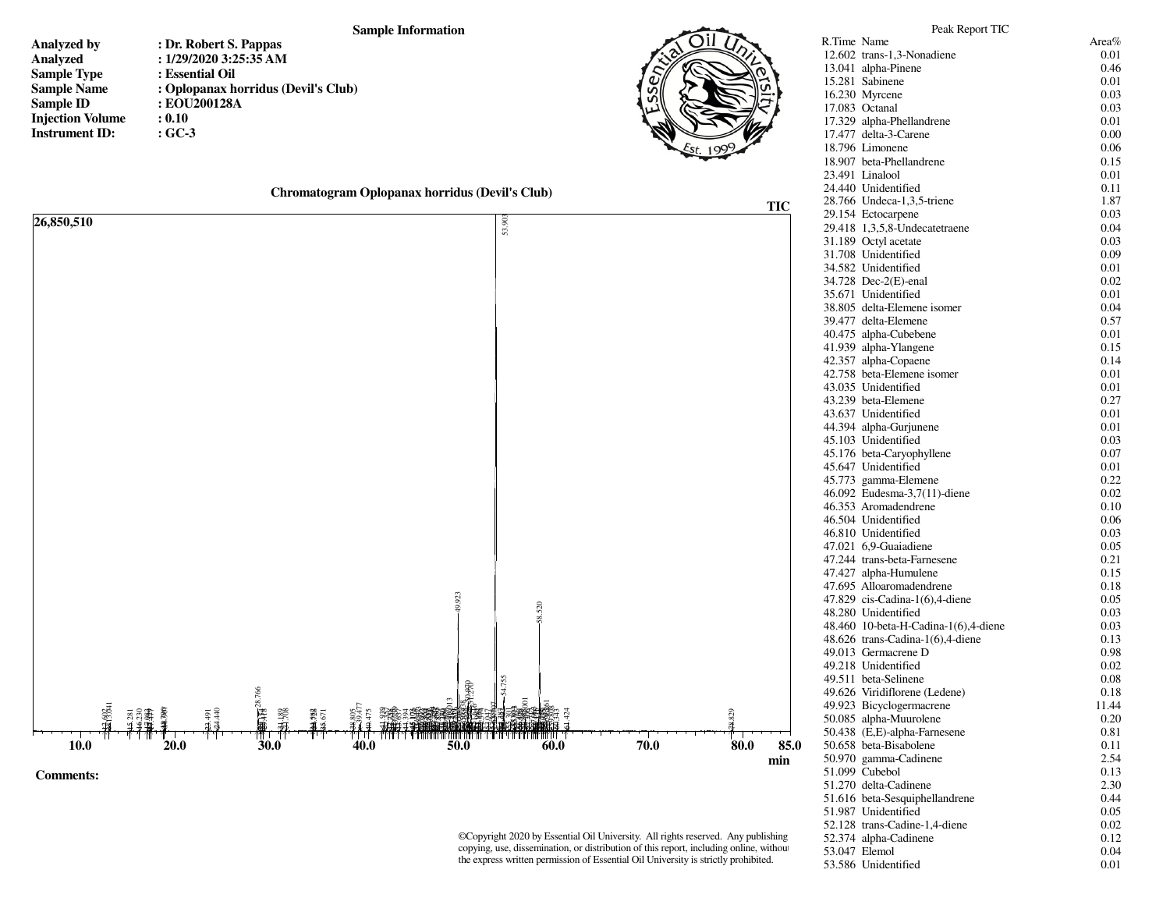## **Sample Information**

- **Analyzed byAnalyzedSample TypeSample NameSample IDInjection VolumeInstrument ID:**
- **: Dr. Robert S. Pappas : 1/29/2020 3:25:35 AM : Essential Oil : Oplopanax horridus (Devil's Club) : EOU200128A : 0.10: GC-3**



| Chromatogram Oplopanax horridus (Devil's Club) |  |  |  |  |
|------------------------------------------------|--|--|--|--|
|------------------------------------------------|--|--|--|--|



©Copyright 2020 by Essential Oil University. All rights reserved. Any publishing, copying, use, dissemination, or distribution of this report, including online, without the express written permission of Essential Oil University is strictly prohibited.

| R.Time Name |                                      | Area% |
|-------------|--------------------------------------|-------|
|             | 12.602 trans-1,3-Nonadiene           | 0.01  |
|             | 13.041 alpha-Pinene                  | 0.46  |
|             | 15.281 Sabinene                      | 0.01  |
|             | 16.230 Myrcene                       | 0.03  |
|             | 17.083 Octanal                       | 0.03  |
|             | 17.329 alpha-Phellandrene            | 0.01  |
|             | 17.477 delta-3-Carene                | 0.00  |
|             | 18.796 Limonene                      | 0.06  |
|             | 18.907 beta-Phellandrene             | 0.15  |
|             | 23.491 Linalool                      | 0.01  |
|             | 24.440 Unidentified                  | 0.11  |
|             | 28.766 Undeca-1,3,5-triene           | 1.87  |
|             | 29.154 Ectocarpene                   | 0.03  |
|             | 29.418 1,3,5,8-Undecatetraene        | 0.04  |
|             | 31.189 Octyl acetate                 | 0.03  |
|             | 31.708 Unidentified                  | 0.09  |
|             | 34.582 Unidentified                  | 0.01  |
|             | 34.728 Dec-2(E)-enal                 | 0.02  |
|             | 35.671 Unidentified                  | 0.01  |
|             | 38.805 delta-Elemene isomer          | 0.04  |
|             | 39.477 delta-Elemene                 | 0.57  |
|             | 40.475 alpha-Cubebene                | 0.01  |
|             | 41.939 alpha-Ylangene                | 0.15  |
|             | 42.357 alpha-Copaene                 | 0.14  |
|             | 42.758 beta-Elemene isomer           | 0.01  |
|             | 43.035 Unidentified                  | 0.01  |
|             | 43.239 beta-Elemene                  | 0.27  |
|             | 43.637 Unidentified                  | 0.01  |
|             | 44.394 alpha-Gurjunene               | 0.01  |
|             | 45.103 Unidentified                  | 0.03  |
|             | 45.176 beta-Caryophyllene            | 0.07  |
|             | 45.647 Unidentified                  | 0.01  |
|             | 45.773 gamma-Elemene                 | 0.22  |
|             | 46.092 Eudesma-3,7(11)-diene         | 0.02  |
|             | 46.353 Aromadendrene                 | 0.10  |
|             | 46.504 Unidentified                  | 0.06  |
|             | 46.810 Unidentified                  | 0.03  |
|             | 47.021 6,9-Guaiadiene                | 0.05  |
|             | 47.244 trans-beta-Farnesene          | 0.21  |
|             | 47.427 alpha-Humulene                | 0.15  |
|             | 47.695 Alloaromadendrene             | 0.18  |
|             | 47.829 cis-Cadina-1(6),4-diene       | 0.05  |
|             | 48.280 Unidentified                  | 0.03  |
|             | 48.460 10-beta-H-Cadina-1(6),4-diene | 0.03  |
|             | 48.626 trans-Cadina-1(6),4-diene     | 0.13  |
|             | 49.013 Germacrene D                  | 0.98  |
|             | 49.218 Unidentified                  | 0.02  |
|             | 49.511 beta-Selinene                 | 0.08  |
|             | 49.626 Viridiflorene (Ledene)        | 0.18  |
|             | 49.923 Bicyclogermacrene             | 11.44 |
|             | 50.085 alpha-Muurolene               | 0.20  |
|             | 50.438 (E,E)-alpha-Farnesene         | 0.81  |
|             | 50.658 beta-Bisabolene               | 0.11  |
|             | 50.970 gamma-Cadinene                | 2.54  |
|             | 51.099 Cubebol                       | 0.13  |
|             | 51.270 delta-Cadinene                | 2.30  |
|             | 51.616 beta-Sesquiphellandrene       | 0.44  |
|             | 51.987 Unidentified                  | 0.05  |
|             | 52.128 trans-Cadine-1,4-diene        | 0.02  |
|             | 52.374 alpha-Cadinene                | 0.12  |
|             | 53.047 Elemol                        | 0.04  |
|             | 53.586 Unidentified                  | 0.01  |
|             |                                      |       |

Peak Report TIC